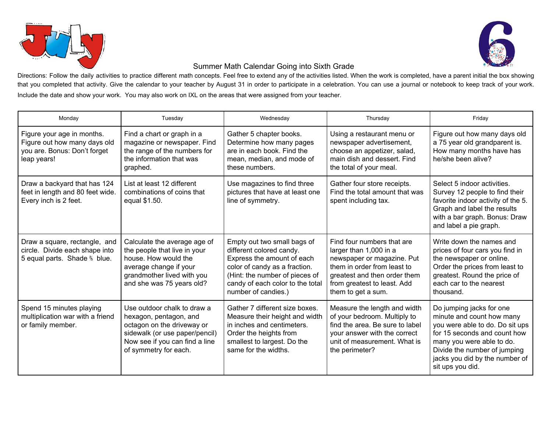



## Summer Math Calendar Going into Sixth Grade

Directions: Follow the daily activities to practice different math concepts. Feel free to extend any of the activities listed. When the work is completed, have a parent initial the box showing that you completed that activity. Give the calendar to your teacher by August 31 in order to participate in a celebration. You can use a journal or notebook to keep track of your work. Include the date and show your work. You may also work on IXL on the areas that were assigned from your teacher.

| Monday                                                                                                    | Tuesday                                                                                                                                                                          | Wednesday                                                                                                                                                                                                           | Thursday                                                                                                                                                                                               | Friday                                                                                                                                                                                                                                      |
|-----------------------------------------------------------------------------------------------------------|----------------------------------------------------------------------------------------------------------------------------------------------------------------------------------|---------------------------------------------------------------------------------------------------------------------------------------------------------------------------------------------------------------------|--------------------------------------------------------------------------------------------------------------------------------------------------------------------------------------------------------|---------------------------------------------------------------------------------------------------------------------------------------------------------------------------------------------------------------------------------------------|
| Figure your age in months.<br>Figure out how many days old<br>you are. Bonus: Don't forget<br>leap years! | Find a chart or graph in a<br>magazine or newspaper. Find<br>the range of the numbers for<br>the information that was<br>graphed.                                                | Gather 5 chapter books.<br>Determine how many pages<br>are in each book. Find the<br>mean, median, and mode of<br>these numbers.                                                                                    | Using a restaurant menu or<br>newspaper advertisement,<br>choose an appetizer, salad,<br>main dish and dessert. Find<br>the total of your meal.                                                        | Figure out how many days old<br>a 75 year old grandparent is.<br>How many months have has<br>he/she been alive?                                                                                                                             |
| Draw a backyard that has 124<br>feet in length and 80 feet wide.<br>Every inch is 2 feet.                 | List at least 12 different<br>combinations of coins that<br>equal \$1.50.                                                                                                        | Use magazines to find three<br>pictures that have at least one<br>line of symmetry.                                                                                                                                 | Gather four store receipts.<br>Find the total amount that was<br>spent including tax.                                                                                                                  | Select 5 indoor activities.<br>Survey 12 people to find their<br>favorite indoor activity of the 5.<br>Graph and label the results<br>with a bar graph. Bonus: Draw<br>and label a pie graph.                                               |
| Draw a square, rectangle, and<br>circle. Divide each shape into<br>5 equal parts. Shade % blue.           | Calculate the average age of<br>the people that live in your<br>house. How would the<br>average change if your<br>grandmother lived with you<br>and she was 75 years old?        | Empty out two small bags of<br>different colored candy.<br>Express the amount of each<br>color of candy as a fraction.<br>(Hint: the number of pieces of<br>candy of each color to the total<br>number of candies.) | Find four numbers that are<br>larger than 1,000 in a<br>newspaper or magazine. Put<br>them in order from least to<br>greatest and then order them<br>from greatest to least. Add<br>them to get a sum. | Write down the names and<br>prices of four cars you find in<br>the newspaper or online.<br>Order the prices from least to<br>greatest. Round the price of<br>each car to the nearest<br>thousand.                                           |
| Spend 15 minutes playing<br>multiplication war with a friend<br>or family member.                         | Use outdoor chalk to draw a<br>hexagon, pentagon, and<br>octagon on the driveway or<br>sidewalk (or use paper/pencil)<br>Now see if you can find a line<br>of symmetry for each. | Gather 7 different size boxes.<br>Measure their height and width<br>in inches and centimeters.<br>Order the heights from<br>smallest to largest. Do the<br>same for the widths.                                     | Measure the length and width<br>of your bedroom. Multiply to<br>find the area. Be sure to label<br>your answer with the correct<br>unit of measurement. What is<br>the perimeter?                      | Do jumping jacks for one<br>minute and count how many<br>you were able to do. Do sit ups<br>for 15 seconds and count how<br>many you were able to do.<br>Divide the number of jumping<br>jacks you did by the number of<br>sit ups you did. |